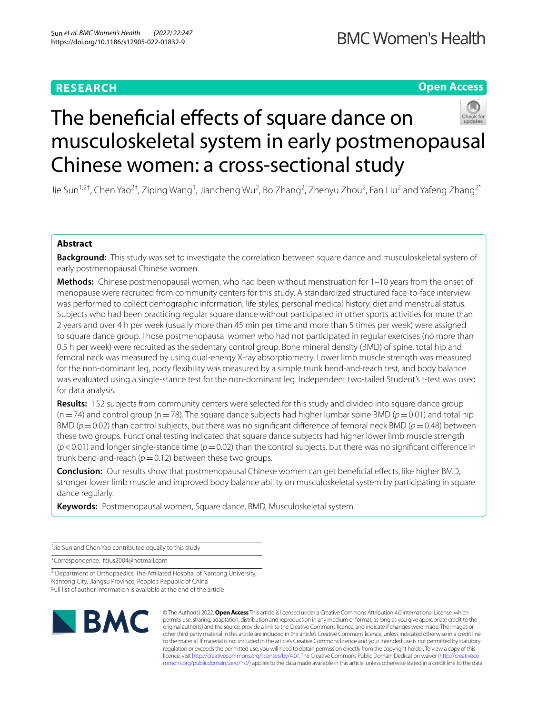## **RESEARCH**

## **Open Access**



# The beneficial effects of square dance on musculoskeletal system in early postmenopausal Chinese women: a cross-sectional study

Jie Sun<sup>1,2†</sup>, Chen Yao<sup>2†</sup>, Ziping Wang<sup>1</sup>, Jiancheng Wu<sup>2</sup>, Bo Zhang<sup>2</sup>, Zhenyu Zhou<sup>2</sup>, Fan Liu<sup>2</sup> and Yafeng Zhang<sup>2\*</sup>

### **Abstract**

**Background:** This study was set to investigate the correlation between square dance and musculoskeletal system of early postmenopausal Chinese women.

**Methods:** Chinese postmenopausal women, who had been without menstruation for 1–10 years from the onset of menopause were recruited from community centers for this study. A standardized structured face-to-face interview was performed to collect demographic information, life styles, personal medical history, diet and menstrual status. Subjects who had been practicing regular square dance without participated in other sports activities for more than 2 years and over 4 h per week (usually more than 45 min per time and more than 5 times per week) were assigned to square dance group. Those postmenopausal women who had not participated in regular exercises (no more than 0.5 h per week) were recruited as the sedentary control group. Bone mineral density (BMD) of spine, total hip and femoral neck was measured by using dual-energy X-ray absorptiometry. Lower limb muscle strength was measured for the non-dominant leg, body fexibility was measured by a simple trunk bend-and-reach test, and body balance was evaluated using a single-stance test for the non-dominant leg. Independent two-tailed Student's t-test was used for data analysis.

**Results:** 152 subjects from community centers were selected for this study and divided into square dance group  $(n=74)$  and control group  $(n=78)$ . The square dance subjects had higher lumbar spine BMD ( $p=0.01$ ) and total hip BMD ( $p=0.02$ ) than control subjects, but there was no significant difference of femoral neck BMD ( $p=0.48$ ) between these two groups. Functional testing indicated that square dance subjects had higher lower limb muscle strength (*p*<0.01) and longer single-stance time (*p*=0.02) than the control subjects, but there was no signifcant diference in trunk bend-and-reach  $(p=0.12)$  between these two groups.

**Conclusion:** Our results show that postmenopausal Chinese women can get benefcial efects, like higher BMD, stronger lower limb muscle and improved body balance ability on musculoskeletal system by participating in square dance regularly.

**Keywords:** Postmenopausal women, Square dance, BMD, Musculoskeletal system

† Jie Sun and Chen Yao contributed equally to this study

\*Correspondence: fcius2004@hotmail.com

<sup>2</sup> Department of Orthopaedics, The Affiliated Hospital of Nantong University, Nantong City, Jiangsu Province, People's Republic of China Full list of author information is available at the end of the article



© The Author(s) 2022. **Open Access** This article is licensed under a Creative Commons Attribution 4.0 International License, which permits use, sharing, adaptation, distribution and reproduction in any medium or format, as long as you give appropriate credit to the original author(s) and the source, provide a link to the Creative Commons licence, and indicate if changes were made. The images or other third party material in this article are included in the article's Creative Commons licence, unless indicated otherwise in a credit line to the material. If material is not included in the article's Creative Commons licence and your intended use is not permitted by statutory regulation or exceeds the permitted use, you will need to obtain permission directly from the copyright holder. To view a copy of this licence, visit [http://creativecommons.org/licenses/by/4.0/.](http://creativecommons.org/licenses/by/4.0/) The Creative Commons Public Domain Dedication waiver ([http://creativeco](http://creativecommons.org/publicdomain/zero/1.0/) [mmons.org/publicdomain/zero/1.0/](http://creativecommons.org/publicdomain/zero/1.0/)) applies to the data made available in this article, unless otherwise stated in a credit line to the data.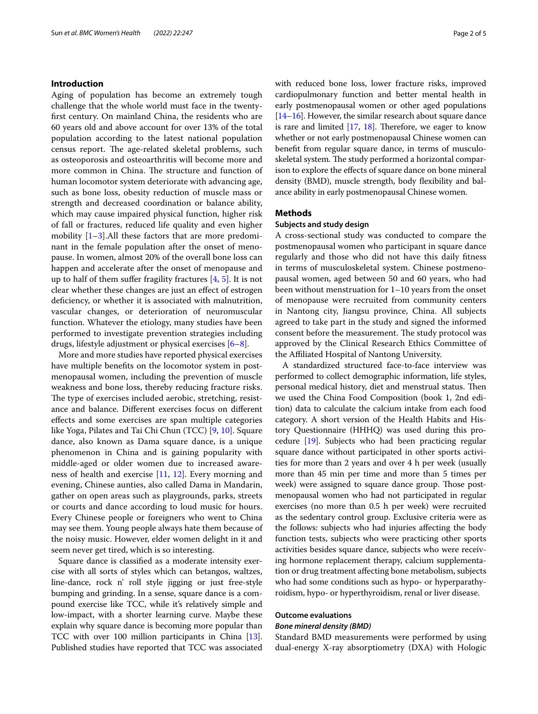#### **Introduction**

Aging of population has become an extremely tough challenge that the whole world must face in the twentyfrst century. On mainland China, the residents who are 60 years old and above account for over 13% of the total population according to the latest national population census report. The age-related skeletal problems, such as osteoporosis and osteoarthritis will become more and more common in China. The structure and function of human locomotor system deteriorate with advancing age, such as bone loss, obesity reduction of muscle mass or strength and decreased coordination or balance ability, which may cause impaired physical function, higher risk of fall or fractures, reduced life quality and even higher mobility [[1](#page-4-0)[–3](#page-4-1)].All these factors that are more predominant in the female population after the onset of menopause. In women, almost 20% of the overall bone loss can happen and accelerate after the onset of menopause and up to half of them suffer fragility fractures  $[4, 5]$  $[4, 5]$  $[4, 5]$  $[4, 5]$  $[4, 5]$ . It is not clear whether these changes are just an efect of estrogen defciency, or whether it is associated with malnutrition, vascular changes, or deterioration of neuromuscular function. Whatever the etiology, many studies have been performed to investigate prevention strategies including drugs, lifestyle adjustment or physical exercises [[6–](#page-4-4)[8\]](#page-4-5).

More and more studies have reported physical exercises have multiple benefts on the locomotor system in postmenopausal women, including the prevention of muscle weakness and bone loss, thereby reducing fracture risks. The type of exercises included aerobic, stretching, resistance and balance. Diferent exercises focus on diferent efects and some exercises are span multiple categories like Yoga, Pilates and Tai Chi Chun (TCC) [[9,](#page-4-6) [10](#page-4-7)]. Square dance, also known as Dama square dance, is a unique phenomenon in China and is gaining popularity with middle-aged or older women due to increased awareness of health and exercise [\[11,](#page-4-8) [12](#page-4-9)]. Every morning and evening, Chinese aunties, also called Dama in Mandarin, gather on open areas such as playgrounds, parks, streets or courts and dance according to loud music for hours. Every Chinese people or foreigners who went to China may see them. Young people always hate them because of the noisy music. However, elder women delight in it and seem never get tired, which is so interesting.

Square dance is classifed as a moderate intensity exercise with all sorts of styles which can betangos, waltzes, line-dance, rock n' roll style jigging or just free-style bumping and grinding. In a sense, square dance is a compound exercise like TCC, while it's relatively simple and low-impact, with a shorter learning curve. Maybe these explain why square dance is becoming more popular than TCC with over 100 million participants in China [[13](#page-4-10)]. Published studies have reported that TCC was associated with reduced bone loss, lower fracture risks, improved cardiopulmonary function and better mental health in early postmenopausal women or other aged populations [[14](#page-4-11)[–16\]](#page-4-12). However, the similar research about square dance is rare and limited  $[17, 18]$  $[17, 18]$  $[17, 18]$  $[17, 18]$ . Therefore, we eager to know whether or not early postmenopausal Chinese women can beneft from regular square dance, in terms of musculoskeletal system. The study performed a horizontal comparison to explore the effects of square dance on bone mineral density (BMD), muscle strength, body fexibility and balance ability in early postmenopausal Chinese women.

#### **Methods**

#### **Subjects and study design**

A cross-sectional study was conducted to compare the postmenopausal women who participant in square dance regularly and those who did not have this daily ftness in terms of musculoskeletal system. Chinese postmenopausal women, aged between 50 and 60 years, who had been without menstruation for 1–10 years from the onset of menopause were recruited from community centers in Nantong city, Jiangsu province, China. All subjects agreed to take part in the study and signed the informed consent before the measurement. The study protocol was approved by the Clinical Research Ethics Committee of the Afliated Hospital of Nantong University.

A standardized structured face-to-face interview was performed to collect demographic information, life styles, personal medical history, diet and menstrual status. Then we used the China Food Composition (book 1, 2nd edition) data to calculate the calcium intake from each food category. A short version of the Health Habits and History Questionnaire (HHHQ) was used during this procedure [\[19\]](#page-4-15). Subjects who had been practicing regular square dance without participated in other sports activities for more than 2 years and over 4 h per week (usually more than 45 min per time and more than 5 times per week) were assigned to square dance group. Those postmenopausal women who had not participated in regular exercises (no more than 0.5 h per week) were recruited as the sedentary control group. Exclusive criteria were as the follows: subjects who had injuries afecting the body function tests, subjects who were practicing other sports activities besides square dance, subjects who were receiving hormone replacement therapy, calcium supplementation or drug treatment afecting bone metabolism, subjects who had some conditions such as hypo- or hyperparathyroidism, hypo- or hyperthyroidism, renal or liver disease.

## **Outcome evaluations**

#### *Bone mineral density (BMD)*

Standard BMD measurements were performed by using dual-energy X-ray absorptiometry (DXA) with Hologic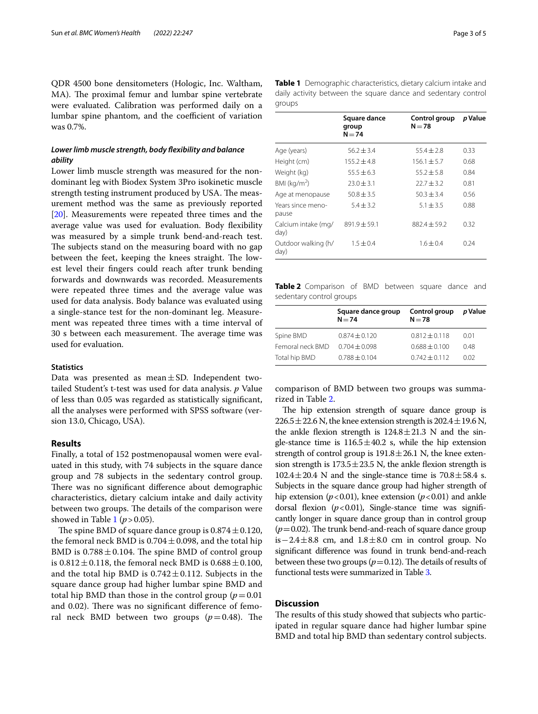QDR 4500 bone densitometers (Hologic, Inc. Waltham, MA). The proximal femur and lumbar spine vertebrate were evaluated. Calibration was performed daily on a lumbar spine phantom, and the coefficient of variation was 0.7%.

#### *Lower limb muscle strength, body fexibility and balance ability*

Lower limb muscle strength was measured for the nondominant leg with Biodex System 3Pro isokinetic muscle strength testing instrument produced by USA. The measurement method was the same as previously reported [[20\]](#page-4-16). Measurements were repeated three times and the average value was used for evaluation. Body fexibility was measured by a simple trunk bend-and-reach test. The subjects stand on the measuring board with no gap between the feet, keeping the knees straight. The lowest level their fngers could reach after trunk bending forwards and downwards was recorded. Measurements were repeated three times and the average value was used for data analysis. Body balance was evaluated using a single-stance test for the non-dominant leg. Measurement was repeated three times with a time interval of 30 s between each measurement. The average time was used for evaluation.

#### **Statistics**

Data was presented as mean $\pm$ SD. Independent twotailed Student's t-test was used for data analysis. *p* Value of less than 0.05 was regarded as statistically signifcant, all the analyses were performed with SPSS software (version 13.0, Chicago, USA).

#### **Results**

Finally, a total of 152 postmenopausal women were evaluated in this study, with 74 subjects in the square dance group and 78 subjects in the sedentary control group. There was no significant difference about demographic characteristics, dietary calcium intake and daily activity between two groups. The details of the comparison were showed in Table [1](#page-2-0) ( $p > 0.05$ ).

The spine BMD of square dance group is  $0.874 \pm 0.120$ , the femoral neck BMD is  $0.704 \pm 0.098$ , and the total hip BMD is  $0.788 \pm 0.104$ . The spine BMD of control group is  $0.812 \pm 0.118$ , the femoral neck BMD is  $0.688 \pm 0.100$ , and the total hip BMD is  $0.742 \pm 0.112$ . Subjects in the square dance group had higher lumbar spine BMD and total hip BMD than those in the control group  $(p=0.01)$ and 0.02). There was no significant difference of femoral neck BMD between two groups  $(p=0.48)$ . The <span id="page-2-0"></span>**Table 1** Demographic characteristics, dietary calcium intake and daily activity between the square dance and sedentary control groups

|                             | Square dance<br>group<br>$N = 74$ | Control group<br>$N = 78$ | p Value |
|-----------------------------|-----------------------------------|---------------------------|---------|
| Age (years)                 | $56.2 \pm 3.4$                    | $55.4 \pm 2.8$            | 0.33    |
| Height (cm)                 | $155.2 \pm 4.8$                   | $156.1 \pm 5.7$           | 0.68    |
| Weight (kg)                 | $55.5 \pm 6.3$                    | $55.2 \pm 5.8$            | 0.84    |
| BMI ( $kg/m2$ )             | $23.0 \pm 3.1$                    | $22.7 + 3.2$              | 0.81    |
| Age at menopause            | $50.8 \pm 3.5$                    | $50.3 \pm 3.4$            | 0.56    |
| Years since meno-<br>pause  | $5.4 \pm 3.2$                     | $5.1 \pm 3.5$             | 0.88    |
| Calcium intake (mg/<br>day) | $891.9 \pm 59.1$                  | $882.4 \pm 59.2$          | 0.32    |
| Outdoor walking (h/<br>day) | $1.5 \pm 0.4$                     | $1.6 \pm 0.4$             | 0.24    |

<span id="page-2-1"></span>**Table 2** Comparison of BMD between square dance and sedentary control groups

|                  | Square dance group<br>$N = 74$ | Control group<br>$N = 78$ | p Value |
|------------------|--------------------------------|---------------------------|---------|
| Spine BMD        | $0.874 \pm 0.120$              | $0.812 \pm 0.118$         | 0.01    |
| Femoral neck BMD | $0.704 \pm 0.098$              | $0.688 + 0.100$           | 0.48    |
| Total hip BMD    | $0.788 + 0.104$                | $0.742 \pm 0.112$         | 0.02    |

comparison of BMD between two groups was summarized in Table [2](#page-2-1).

The hip extension strength of square dance group is  $226.5 \pm 22.6$  N, the knee extension strength is  $202.4 \pm 19.6$  N, the ankle flexion strength is  $124.8 \pm 21.3$  N and the single-stance time is  $116.5 \pm 40.2$  s, while the hip extension strength of control group is  $191.8 \pm 26.1$  N, the knee extension strength is  $173.5 \pm 23.5$  N, the ankle flexion strength is  $102.4 \pm 20.4$  N and the single-stance time is  $70.8 \pm 58.4$  s. Subjects in the square dance group had higher strength of hip extension ( $p < 0.01$ ), knee extension ( $p < 0.01$ ) and ankle dorsal flexion  $(p<0.01)$ , Single-stance time was significantly longer in square dance group than in control group  $(p=0.02)$ . The trunk bend-and-reach of square dance group is−2.4 $\pm$ 8.8 cm, and 1.8 $\pm$ 8.0 cm in control group. No signifcant diference was found in trunk bend-and-reach between these two groups ( $p=0.12$ ). The details of results of functional tests were summarized in Table [3.](#page-3-0)

#### **Discussion**

The results of this study showed that subjects who participated in regular square dance had higher lumbar spine BMD and total hip BMD than sedentary control subjects.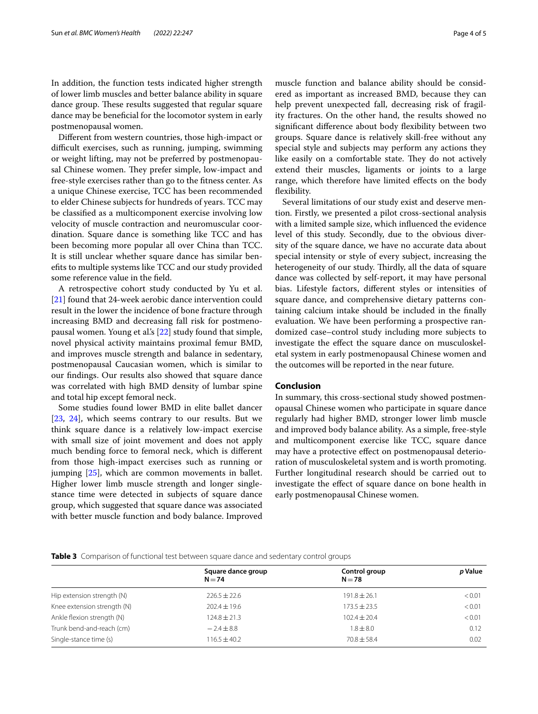In addition, the function tests indicated higher strength of lower limb muscles and better balance ability in square dance group. These results suggested that regular square dance may be benefcial for the locomotor system in early postmenopausal women.

Diferent from western countries, those high-impact or difficult exercises, such as running, jumping, swimming or weight lifting, may not be preferred by postmenopausal Chinese women. They prefer simple, low-impact and free-style exercises rather than go to the ftness center. As a unique Chinese exercise, TCC has been recommended to elder Chinese subjects for hundreds of years. TCC may be classifed as a multicomponent exercise involving low velocity of muscle contraction and neuromuscular coordination. Square dance is something like TCC and has been becoming more popular all over China than TCC. It is still unclear whether square dance has similar benefts to multiple systems like TCC and our study provided some reference value in the feld.

A retrospective cohort study conducted by Yu et al. [[21\]](#page-4-17) found that 24-week aerobic dance intervention could result in the lower the incidence of bone fracture through increasing BMD and decreasing fall risk for postmenopausal women. Young et al.'s [[22](#page-4-18)] study found that simple, novel physical activity maintains proximal femur BMD, and improves muscle strength and balance in sedentary, postmenopausal Caucasian women, which is similar to our fndings. Our results also showed that square dance was correlated with high BMD density of lumbar spine and total hip except femoral neck.

Some studies found lower BMD in elite ballet dancer [[23,](#page-4-19) [24](#page-4-20)], which seems contrary to our results. But we think square dance is a relatively low-impact exercise with small size of joint movement and does not apply much bending force to femoral neck, which is diferent from those high-impact exercises such as running or jumping [[25\]](#page-4-21), which are common movements in ballet. Higher lower limb muscle strength and longer singlestance time were detected in subjects of square dance group, which suggested that square dance was associated with better muscle function and body balance. Improved muscle function and balance ability should be considered as important as increased BMD, because they can help prevent unexpected fall, decreasing risk of fragility fractures. On the other hand, the results showed no signifcant diference about body fexibility between two groups. Square dance is relatively skill-free without any special style and subjects may perform any actions they like easily on a comfortable state. They do not actively extend their muscles, ligaments or joints to a large range, which therefore have limited efects on the body fexibility.

Several limitations of our study exist and deserve mention. Firstly, we presented a pilot cross-sectional analysis with a limited sample size, which infuenced the evidence level of this study. Secondly, due to the obvious diversity of the square dance, we have no accurate data about special intensity or style of every subject, increasing the heterogeneity of our study. Thirdly, all the data of square dance was collected by self-report, it may have personal bias. Lifestyle factors, diferent styles or intensities of square dance, and comprehensive dietary patterns containing calcium intake should be included in the fnally evaluation. We have been performing a prospective randomized case–control study including more subjects to investigate the efect the square dance on musculoskeletal system in early postmenopausal Chinese women and the outcomes will be reported in the near future.

#### **Conclusion**

In summary, this cross-sectional study showed postmenopausal Chinese women who participate in square dance regularly had higher BMD, stronger lower limb muscle and improved body balance ability. As a simple, free-style and multicomponent exercise like TCC, square dance may have a protective efect on postmenopausal deterioration of musculoskeletal system and is worth promoting. Further longitudinal research should be carried out to investigate the efect of square dance on bone health in early postmenopausal Chinese women.

<span id="page-3-0"></span>**Table 3** Comparison of functional test between square dance and sedentary control groups

| Square dance group<br>$N = 74$ | Control group<br>$N = 78$ | p Value |
|--------------------------------|---------------------------|---------|
| $226.5 + 22.6$                 | $191.8 \pm 26.1$          | < 0.01  |
| $202.4 \pm 19.6$               | $173.5 + 23.5$            | < 0.01  |
| $124.8 \pm 21.3$               | $102.4 \pm 20.4$          | < 0.01  |
| $-2.4 \pm 8.8$                 | $1.8 \pm 8.0$             | 0.12    |
| $116.5 \pm 40.2$               | $70.8 + 58.4$             | 0.02    |
|                                |                           |         |